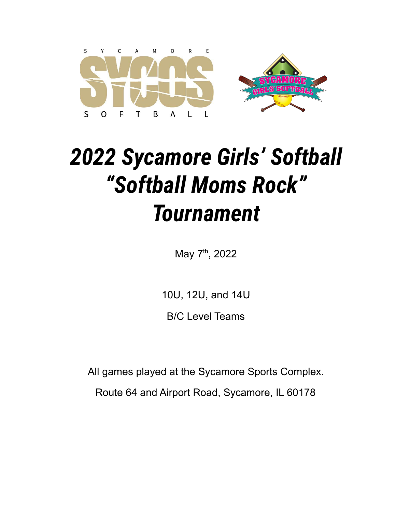

# *2022 Sycamore Girls' Softball "Softball Moms Rock" Tournament*

May 7<sup>th</sup>, 2022

10U, 12U, and 14U

B/C Level Teams

All games played at the Sycamore Sports Complex.

Route 64 and Airport Road, Sycamore, IL 60178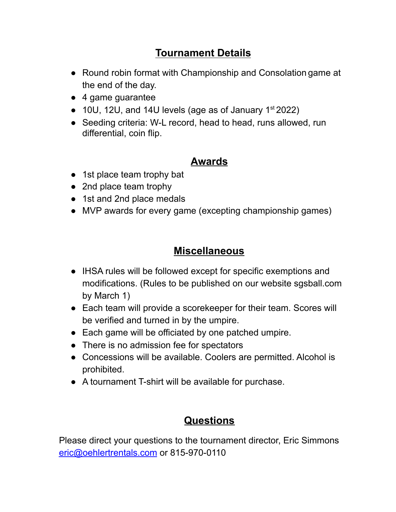### **Tournament Details**

- Round robin format with Championship and Consolation game at the end of the day.
- 4 game guarantee
- $\bullet$  10U, 12U, and 14U levels (age as of January 1st 2022)
- Seeding criteria: W-L record, head to head, runs allowed, run differential, coin flip.

#### **Awards**

- 1st place team trophy bat
- 2nd place team trophy
- 1st and 2nd place medals
- MVP awards for every game (excepting championship games)

#### **Miscellaneous**

- IHSA rules will be followed except for specific exemptions and modifications. (Rules to be published on our website sgsball.com by March 1)
- Each team will provide a scorekeeper for their team. Scores will be verified and turned in by the umpire.
- Each game will be officiated by one patched umpire.
- There is no admission fee for spectators
- Concessions will be available. Coolers are permitted. Alcohol is prohibited.
- A tournament T-shirt will be available for purchase.

#### **Questions**

Please direct your questions to the tournament director, Eric Simmons [eric@oehlertrentals.com](mailto:eric@oehlertrentals.com) or 815-970-0110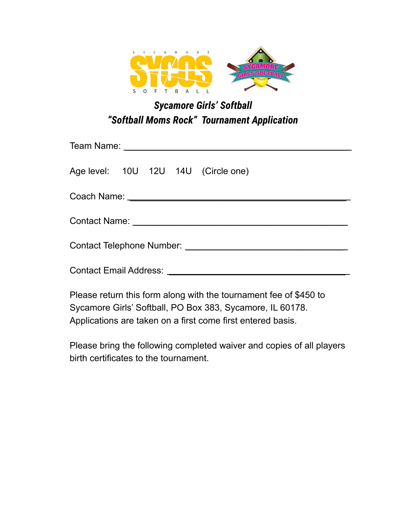

# *Sycamore Girls' Softball "Softball Moms Rock" Tournament Application*

| Age level: 10U 12U 14U (Circle one) |  |  |  |  |  |
|-------------------------------------|--|--|--|--|--|
|                                     |  |  |  |  |  |
|                                     |  |  |  |  |  |
|                                     |  |  |  |  |  |
|                                     |  |  |  |  |  |
| <b>DI LUICILI</b> HULLI LE CALEA L  |  |  |  |  |  |

Please return this form along with the tournament fee of \$450 to Sycamore Girls' Softball, PO Box 383, Sycamore, IL 60178. Applications are taken on a first come first entered basis.

Please bring the following completed waiver and copies of all players birth certificates to the tournament.